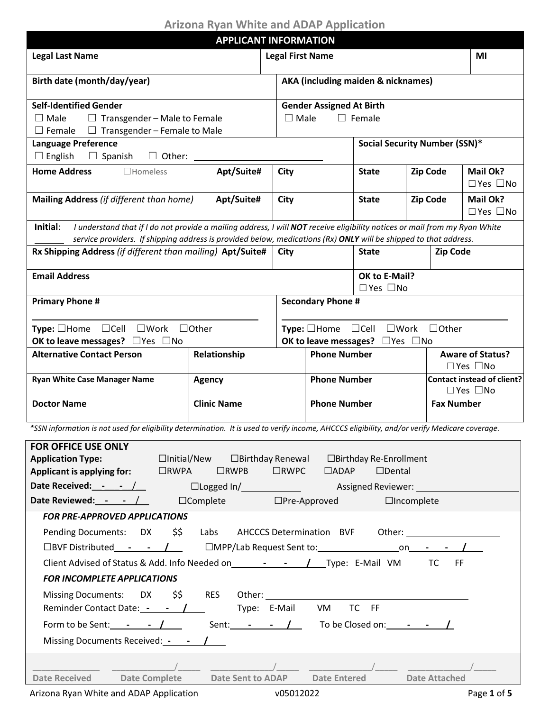# **Arizona Ryan White and ADAP Application**

| <b>Legal Last Name</b><br><b>Legal First Name</b><br>MI<br><b>AKA (including maiden &amp; nicknames)</b><br>Birth date (month/day/year)<br><b>Self-Identified Gender</b><br><b>Gender Assigned At Birth</b><br>$\square$ Male<br>$\Box$ Transgender – Male to Female<br>$\Box$ Male<br>$\Box$ Female<br>$\Box$ Transgender – Female to Male<br>$\Box$ Female<br><b>Language Preference</b><br>Social Security Number (SSN)*<br>$\Box$ English<br>Apt/Suite#<br><b>Home Address</b><br><b>City</b><br>Mail Ok?<br>$\Box$ Homeless<br><b>Zip Code</b><br><b>State</b><br>$\Box$ Yes $\Box$ No<br>Mailing Address (if different than home)<br>Apt/Suite#<br><b>City</b><br><b>Zip Code</b><br>Mail Ok?<br><b>State</b><br>$\Box$ Yes $\Box$ No<br>Initial:<br>I understand that if I do not provide a mailing address, I will NOT receive eligibility notices or mail from my Ryan White<br>service providers. If shipping address is provided below, medications (Rx) ONLY will be shipped to that address.<br>Rx Shipping Address (if different than mailing) Apt/Suite#<br>City<br><b>Zip Code</b><br><b>State</b><br><b>Email Address</b><br>OK to E-Mail?<br>$\Box$ Yes $\Box$ No<br><b>Primary Phone #</b><br><b>Secondary Phone #</b><br><b>Type:</b> $\Box$ Home $\Box$ Cell $\Box$ Work<br>$\Box$ Other<br><b>Type:</b> $\Box$ Home $\Box$ Cell $\Box$ Work $\Box$ Other<br>OK to leave messages? $\Box$ Yes $\Box$ No<br>OK to leave messages? $\Box$ Yes $\Box$ No<br><b>Alternative Contact Person</b><br><b>Phone Number</b><br>Relationship<br><b>Aware of Status?</b><br>$\Box$ Yes $\Box$ No<br><b>Ryan White Case Manager Name</b><br><b>Phone Number</b><br><b>Agency</b><br>$\Box$ Yes $\Box$ No<br><b>Clinic Name</b><br><b>Doctor Name</b><br><b>Phone Number</b><br><b>Fax Number</b><br>*SSN information is not used for eligibility determination. It is used to verify income, AHCCCS eligibility, and/or verify Medicare coverage.<br><b>FOR OFFICE USE ONLY</b><br>$\Box$ Initial/New<br><b>Application Type:</b><br>□Birthday Renewal □Birthday Re-Enrollment<br>$\Box$ RWPB<br>$\Box$ Dental<br><b>Applicant is applying for:</b><br>$\Box$ RWPA<br>$\Box$ RWPC $\Box$ ADAP<br>Date Received: $\qquad \qquad - \qquad / \qquad$<br>□Logged In/ Basigned Reviewer:<br>Date Reviewed: $  /$<br>$\Box$ Complete<br>$\Box$ Pre-Approved<br>$\Box$ Incomplete<br><b>FOR PRE-APPROVED APPLICATIONS</b><br>Pending Documents: DX \$\$ Labs AHCCCS Determination BVF Other:<br>□BVF Distributed ______ / ____   □MPP/Lab Request Sent to: _____________________ on_________ / ___<br><b>FOR INCOMPLETE APPLICATIONS</b><br>Missing Documents: DX \$\$ RES Other:<br>Type: E-Mail VM TC FF<br>Reminder Contact Date: - - /<br>Form to be Sent: $\qquad \qquad  \qquad$ $\qquad$ Sent: $\qquad  \qquad$ $\qquad$ To be Closed on: $\qquad  \qquad$ |                                     | <b>APPLICANT INFORMATION</b> |  |  |  |  |                                   |  |  |
|--------------------------------------------------------------------------------------------------------------------------------------------------------------------------------------------------------------------------------------------------------------------------------------------------------------------------------------------------------------------------------------------------------------------------------------------------------------------------------------------------------------------------------------------------------------------------------------------------------------------------------------------------------------------------------------------------------------------------------------------------------------------------------------------------------------------------------------------------------------------------------------------------------------------------------------------------------------------------------------------------------------------------------------------------------------------------------------------------------------------------------------------------------------------------------------------------------------------------------------------------------------------------------------------------------------------------------------------------------------------------------------------------------------------------------------------------------------------------------------------------------------------------------------------------------------------------------------------------------------------------------------------------------------------------------------------------------------------------------------------------------------------------------------------------------------------------------------------------------------------------------------------------------------------------------------------------------------------------------------------------------------------------------------------------------------------------------------------------------------------------------------------------------------------------------------------------------------------------------------------------------------------------------------------------------------------------------------------------------------------------------------------------------------------------------------------------------------------------------------------------------------------------------------------------------------------------------------------------------------------------------------------------------------------------------------------------------------------------------------------------------------------------------------------------------------------------------------------------------------------|-------------------------------------|------------------------------|--|--|--|--|-----------------------------------|--|--|
|                                                                                                                                                                                                                                                                                                                                                                                                                                                                                                                                                                                                                                                                                                                                                                                                                                                                                                                                                                                                                                                                                                                                                                                                                                                                                                                                                                                                                                                                                                                                                                                                                                                                                                                                                                                                                                                                                                                                                                                                                                                                                                                                                                                                                                                                                                                                                                                                                                                                                                                                                                                                                                                                                                                                                                                                                                                                    |                                     |                              |  |  |  |  |                                   |  |  |
|                                                                                                                                                                                                                                                                                                                                                                                                                                                                                                                                                                                                                                                                                                                                                                                                                                                                                                                                                                                                                                                                                                                                                                                                                                                                                                                                                                                                                                                                                                                                                                                                                                                                                                                                                                                                                                                                                                                                                                                                                                                                                                                                                                                                                                                                                                                                                                                                                                                                                                                                                                                                                                                                                                                                                                                                                                                                    |                                     |                              |  |  |  |  |                                   |  |  |
|                                                                                                                                                                                                                                                                                                                                                                                                                                                                                                                                                                                                                                                                                                                                                                                                                                                                                                                                                                                                                                                                                                                                                                                                                                                                                                                                                                                                                                                                                                                                                                                                                                                                                                                                                                                                                                                                                                                                                                                                                                                                                                                                                                                                                                                                                                                                                                                                                                                                                                                                                                                                                                                                                                                                                                                                                                                                    |                                     |                              |  |  |  |  |                                   |  |  |
|                                                                                                                                                                                                                                                                                                                                                                                                                                                                                                                                                                                                                                                                                                                                                                                                                                                                                                                                                                                                                                                                                                                                                                                                                                                                                                                                                                                                                                                                                                                                                                                                                                                                                                                                                                                                                                                                                                                                                                                                                                                                                                                                                                                                                                                                                                                                                                                                                                                                                                                                                                                                                                                                                                                                                                                                                                                                    |                                     |                              |  |  |  |  |                                   |  |  |
|                                                                                                                                                                                                                                                                                                                                                                                                                                                                                                                                                                                                                                                                                                                                                                                                                                                                                                                                                                                                                                                                                                                                                                                                                                                                                                                                                                                                                                                                                                                                                                                                                                                                                                                                                                                                                                                                                                                                                                                                                                                                                                                                                                                                                                                                                                                                                                                                                                                                                                                                                                                                                                                                                                                                                                                                                                                                    |                                     |                              |  |  |  |  |                                   |  |  |
|                                                                                                                                                                                                                                                                                                                                                                                                                                                                                                                                                                                                                                                                                                                                                                                                                                                                                                                                                                                                                                                                                                                                                                                                                                                                                                                                                                                                                                                                                                                                                                                                                                                                                                                                                                                                                                                                                                                                                                                                                                                                                                                                                                                                                                                                                                                                                                                                                                                                                                                                                                                                                                                                                                                                                                                                                                                                    |                                     |                              |  |  |  |  |                                   |  |  |
|                                                                                                                                                                                                                                                                                                                                                                                                                                                                                                                                                                                                                                                                                                                                                                                                                                                                                                                                                                                                                                                                                                                                                                                                                                                                                                                                                                                                                                                                                                                                                                                                                                                                                                                                                                                                                                                                                                                                                                                                                                                                                                                                                                                                                                                                                                                                                                                                                                                                                                                                                                                                                                                                                                                                                                                                                                                                    |                                     |                              |  |  |  |  |                                   |  |  |
|                                                                                                                                                                                                                                                                                                                                                                                                                                                                                                                                                                                                                                                                                                                                                                                                                                                                                                                                                                                                                                                                                                                                                                                                                                                                                                                                                                                                                                                                                                                                                                                                                                                                                                                                                                                                                                                                                                                                                                                                                                                                                                                                                                                                                                                                                                                                                                                                                                                                                                                                                                                                                                                                                                                                                                                                                                                                    |                                     |                              |  |  |  |  |                                   |  |  |
|                                                                                                                                                                                                                                                                                                                                                                                                                                                                                                                                                                                                                                                                                                                                                                                                                                                                                                                                                                                                                                                                                                                                                                                                                                                                                                                                                                                                                                                                                                                                                                                                                                                                                                                                                                                                                                                                                                                                                                                                                                                                                                                                                                                                                                                                                                                                                                                                                                                                                                                                                                                                                                                                                                                                                                                                                                                                    |                                     |                              |  |  |  |  |                                   |  |  |
|                                                                                                                                                                                                                                                                                                                                                                                                                                                                                                                                                                                                                                                                                                                                                                                                                                                                                                                                                                                                                                                                                                                                                                                                                                                                                                                                                                                                                                                                                                                                                                                                                                                                                                                                                                                                                                                                                                                                                                                                                                                                                                                                                                                                                                                                                                                                                                                                                                                                                                                                                                                                                                                                                                                                                                                                                                                                    |                                     |                              |  |  |  |  |                                   |  |  |
|                                                                                                                                                                                                                                                                                                                                                                                                                                                                                                                                                                                                                                                                                                                                                                                                                                                                                                                                                                                                                                                                                                                                                                                                                                                                                                                                                                                                                                                                                                                                                                                                                                                                                                                                                                                                                                                                                                                                                                                                                                                                                                                                                                                                                                                                                                                                                                                                                                                                                                                                                                                                                                                                                                                                                                                                                                                                    |                                     |                              |  |  |  |  |                                   |  |  |
|                                                                                                                                                                                                                                                                                                                                                                                                                                                                                                                                                                                                                                                                                                                                                                                                                                                                                                                                                                                                                                                                                                                                                                                                                                                                                                                                                                                                                                                                                                                                                                                                                                                                                                                                                                                                                                                                                                                                                                                                                                                                                                                                                                                                                                                                                                                                                                                                                                                                                                                                                                                                                                                                                                                                                                                                                                                                    |                                     |                              |  |  |  |  |                                   |  |  |
|                                                                                                                                                                                                                                                                                                                                                                                                                                                                                                                                                                                                                                                                                                                                                                                                                                                                                                                                                                                                                                                                                                                                                                                                                                                                                                                                                                                                                                                                                                                                                                                                                                                                                                                                                                                                                                                                                                                                                                                                                                                                                                                                                                                                                                                                                                                                                                                                                                                                                                                                                                                                                                                                                                                                                                                                                                                                    |                                     |                              |  |  |  |  |                                   |  |  |
|                                                                                                                                                                                                                                                                                                                                                                                                                                                                                                                                                                                                                                                                                                                                                                                                                                                                                                                                                                                                                                                                                                                                                                                                                                                                                                                                                                                                                                                                                                                                                                                                                                                                                                                                                                                                                                                                                                                                                                                                                                                                                                                                                                                                                                                                                                                                                                                                                                                                                                                                                                                                                                                                                                                                                                                                                                                                    |                                     |                              |  |  |  |  |                                   |  |  |
|                                                                                                                                                                                                                                                                                                                                                                                                                                                                                                                                                                                                                                                                                                                                                                                                                                                                                                                                                                                                                                                                                                                                                                                                                                                                                                                                                                                                                                                                                                                                                                                                                                                                                                                                                                                                                                                                                                                                                                                                                                                                                                                                                                                                                                                                                                                                                                                                                                                                                                                                                                                                                                                                                                                                                                                                                                                                    |                                     |                              |  |  |  |  |                                   |  |  |
|                                                                                                                                                                                                                                                                                                                                                                                                                                                                                                                                                                                                                                                                                                                                                                                                                                                                                                                                                                                                                                                                                                                                                                                                                                                                                                                                                                                                                                                                                                                                                                                                                                                                                                                                                                                                                                                                                                                                                                                                                                                                                                                                                                                                                                                                                                                                                                                                                                                                                                                                                                                                                                                                                                                                                                                                                                                                    |                                     |                              |  |  |  |  |                                   |  |  |
|                                                                                                                                                                                                                                                                                                                                                                                                                                                                                                                                                                                                                                                                                                                                                                                                                                                                                                                                                                                                                                                                                                                                                                                                                                                                                                                                                                                                                                                                                                                                                                                                                                                                                                                                                                                                                                                                                                                                                                                                                                                                                                                                                                                                                                                                                                                                                                                                                                                                                                                                                                                                                                                                                                                                                                                                                                                                    |                                     |                              |  |  |  |  |                                   |  |  |
|                                                                                                                                                                                                                                                                                                                                                                                                                                                                                                                                                                                                                                                                                                                                                                                                                                                                                                                                                                                                                                                                                                                                                                                                                                                                                                                                                                                                                                                                                                                                                                                                                                                                                                                                                                                                                                                                                                                                                                                                                                                                                                                                                                                                                                                                                                                                                                                                                                                                                                                                                                                                                                                                                                                                                                                                                                                                    |                                     |                              |  |  |  |  |                                   |  |  |
|                                                                                                                                                                                                                                                                                                                                                                                                                                                                                                                                                                                                                                                                                                                                                                                                                                                                                                                                                                                                                                                                                                                                                                                                                                                                                                                                                                                                                                                                                                                                                                                                                                                                                                                                                                                                                                                                                                                                                                                                                                                                                                                                                                                                                                                                                                                                                                                                                                                                                                                                                                                                                                                                                                                                                                                                                                                                    |                                     |                              |  |  |  |  |                                   |  |  |
|                                                                                                                                                                                                                                                                                                                                                                                                                                                                                                                                                                                                                                                                                                                                                                                                                                                                                                                                                                                                                                                                                                                                                                                                                                                                                                                                                                                                                                                                                                                                                                                                                                                                                                                                                                                                                                                                                                                                                                                                                                                                                                                                                                                                                                                                                                                                                                                                                                                                                                                                                                                                                                                                                                                                                                                                                                                                    |                                     |                              |  |  |  |  |                                   |  |  |
|                                                                                                                                                                                                                                                                                                                                                                                                                                                                                                                                                                                                                                                                                                                                                                                                                                                                                                                                                                                                                                                                                                                                                                                                                                                                                                                                                                                                                                                                                                                                                                                                                                                                                                                                                                                                                                                                                                                                                                                                                                                                                                                                                                                                                                                                                                                                                                                                                                                                                                                                                                                                                                                                                                                                                                                                                                                                    |                                     |                              |  |  |  |  | <b>Contact instead of client?</b> |  |  |
|                                                                                                                                                                                                                                                                                                                                                                                                                                                                                                                                                                                                                                                                                                                                                                                                                                                                                                                                                                                                                                                                                                                                                                                                                                                                                                                                                                                                                                                                                                                                                                                                                                                                                                                                                                                                                                                                                                                                                                                                                                                                                                                                                                                                                                                                                                                                                                                                                                                                                                                                                                                                                                                                                                                                                                                                                                                                    |                                     |                              |  |  |  |  |                                   |  |  |
|                                                                                                                                                                                                                                                                                                                                                                                                                                                                                                                                                                                                                                                                                                                                                                                                                                                                                                                                                                                                                                                                                                                                                                                                                                                                                                                                                                                                                                                                                                                                                                                                                                                                                                                                                                                                                                                                                                                                                                                                                                                                                                                                                                                                                                                                                                                                                                                                                                                                                                                                                                                                                                                                                                                                                                                                                                                                    |                                     |                              |  |  |  |  |                                   |  |  |
|                                                                                                                                                                                                                                                                                                                                                                                                                                                                                                                                                                                                                                                                                                                                                                                                                                                                                                                                                                                                                                                                                                                                                                                                                                                                                                                                                                                                                                                                                                                                                                                                                                                                                                                                                                                                                                                                                                                                                                                                                                                                                                                                                                                                                                                                                                                                                                                                                                                                                                                                                                                                                                                                                                                                                                                                                                                                    |                                     |                              |  |  |  |  |                                   |  |  |
|                                                                                                                                                                                                                                                                                                                                                                                                                                                                                                                                                                                                                                                                                                                                                                                                                                                                                                                                                                                                                                                                                                                                                                                                                                                                                                                                                                                                                                                                                                                                                                                                                                                                                                                                                                                                                                                                                                                                                                                                                                                                                                                                                                                                                                                                                                                                                                                                                                                                                                                                                                                                                                                                                                                                                                                                                                                                    |                                     |                              |  |  |  |  |                                   |  |  |
|                                                                                                                                                                                                                                                                                                                                                                                                                                                                                                                                                                                                                                                                                                                                                                                                                                                                                                                                                                                                                                                                                                                                                                                                                                                                                                                                                                                                                                                                                                                                                                                                                                                                                                                                                                                                                                                                                                                                                                                                                                                                                                                                                                                                                                                                                                                                                                                                                                                                                                                                                                                                                                                                                                                                                                                                                                                                    |                                     |                              |  |  |  |  |                                   |  |  |
|                                                                                                                                                                                                                                                                                                                                                                                                                                                                                                                                                                                                                                                                                                                                                                                                                                                                                                                                                                                                                                                                                                                                                                                                                                                                                                                                                                                                                                                                                                                                                                                                                                                                                                                                                                                                                                                                                                                                                                                                                                                                                                                                                                                                                                                                                                                                                                                                                                                                                                                                                                                                                                                                                                                                                                                                                                                                    |                                     |                              |  |  |  |  |                                   |  |  |
|                                                                                                                                                                                                                                                                                                                                                                                                                                                                                                                                                                                                                                                                                                                                                                                                                                                                                                                                                                                                                                                                                                                                                                                                                                                                                                                                                                                                                                                                                                                                                                                                                                                                                                                                                                                                                                                                                                                                                                                                                                                                                                                                                                                                                                                                                                                                                                                                                                                                                                                                                                                                                                                                                                                                                                                                                                                                    |                                     |                              |  |  |  |  |                                   |  |  |
|                                                                                                                                                                                                                                                                                                                                                                                                                                                                                                                                                                                                                                                                                                                                                                                                                                                                                                                                                                                                                                                                                                                                                                                                                                                                                                                                                                                                                                                                                                                                                                                                                                                                                                                                                                                                                                                                                                                                                                                                                                                                                                                                                                                                                                                                                                                                                                                                                                                                                                                                                                                                                                                                                                                                                                                                                                                                    |                                     |                              |  |  |  |  |                                   |  |  |
|                                                                                                                                                                                                                                                                                                                                                                                                                                                                                                                                                                                                                                                                                                                                                                                                                                                                                                                                                                                                                                                                                                                                                                                                                                                                                                                                                                                                                                                                                                                                                                                                                                                                                                                                                                                                                                                                                                                                                                                                                                                                                                                                                                                                                                                                                                                                                                                                                                                                                                                                                                                                                                                                                                                                                                                                                                                                    |                                     |                              |  |  |  |  |                                   |  |  |
|                                                                                                                                                                                                                                                                                                                                                                                                                                                                                                                                                                                                                                                                                                                                                                                                                                                                                                                                                                                                                                                                                                                                                                                                                                                                                                                                                                                                                                                                                                                                                                                                                                                                                                                                                                                                                                                                                                                                                                                                                                                                                                                                                                                                                                                                                                                                                                                                                                                                                                                                                                                                                                                                                                                                                                                                                                                                    |                                     |                              |  |  |  |  |                                   |  |  |
|                                                                                                                                                                                                                                                                                                                                                                                                                                                                                                                                                                                                                                                                                                                                                                                                                                                                                                                                                                                                                                                                                                                                                                                                                                                                                                                                                                                                                                                                                                                                                                                                                                                                                                                                                                                                                                                                                                                                                                                                                                                                                                                                                                                                                                                                                                                                                                                                                                                                                                                                                                                                                                                                                                                                                                                                                                                                    |                                     |                              |  |  |  |  |                                   |  |  |
|                                                                                                                                                                                                                                                                                                                                                                                                                                                                                                                                                                                                                                                                                                                                                                                                                                                                                                                                                                                                                                                                                                                                                                                                                                                                                                                                                                                                                                                                                                                                                                                                                                                                                                                                                                                                                                                                                                                                                                                                                                                                                                                                                                                                                                                                                                                                                                                                                                                                                                                                                                                                                                                                                                                                                                                                                                                                    |                                     |                              |  |  |  |  |                                   |  |  |
|                                                                                                                                                                                                                                                                                                                                                                                                                                                                                                                                                                                                                                                                                                                                                                                                                                                                                                                                                                                                                                                                                                                                                                                                                                                                                                                                                                                                                                                                                                                                                                                                                                                                                                                                                                                                                                                                                                                                                                                                                                                                                                                                                                                                                                                                                                                                                                                                                                                                                                                                                                                                                                                                                                                                                                                                                                                                    |                                     |                              |  |  |  |  |                                   |  |  |
|                                                                                                                                                                                                                                                                                                                                                                                                                                                                                                                                                                                                                                                                                                                                                                                                                                                                                                                                                                                                                                                                                                                                                                                                                                                                                                                                                                                                                                                                                                                                                                                                                                                                                                                                                                                                                                                                                                                                                                                                                                                                                                                                                                                                                                                                                                                                                                                                                                                                                                                                                                                                                                                                                                                                                                                                                                                                    |                                     |                              |  |  |  |  |                                   |  |  |
|                                                                                                                                                                                                                                                                                                                                                                                                                                                                                                                                                                                                                                                                                                                                                                                                                                                                                                                                                                                                                                                                                                                                                                                                                                                                                                                                                                                                                                                                                                                                                                                                                                                                                                                                                                                                                                                                                                                                                                                                                                                                                                                                                                                                                                                                                                                                                                                                                                                                                                                                                                                                                                                                                                                                                                                                                                                                    |                                     |                              |  |  |  |  |                                   |  |  |
|                                                                                                                                                                                                                                                                                                                                                                                                                                                                                                                                                                                                                                                                                                                                                                                                                                                                                                                                                                                                                                                                                                                                                                                                                                                                                                                                                                                                                                                                                                                                                                                                                                                                                                                                                                                                                                                                                                                                                                                                                                                                                                                                                                                                                                                                                                                                                                                                                                                                                                                                                                                                                                                                                                                                                                                                                                                                    | Missing Documents Received: - - - / |                              |  |  |  |  |                                   |  |  |
|                                                                                                                                                                                                                                                                                                                                                                                                                                                                                                                                                                                                                                                                                                                                                                                                                                                                                                                                                                                                                                                                                                                                                                                                                                                                                                                                                                                                                                                                                                                                                                                                                                                                                                                                                                                                                                                                                                                                                                                                                                                                                                                                                                                                                                                                                                                                                                                                                                                                                                                                                                                                                                                                                                                                                                                                                                                                    |                                     |                              |  |  |  |  |                                   |  |  |
| <b>Date Received</b><br><b>Date Complete</b><br>Date Sent to ADAP Date Entered<br><b>Date Attached</b>                                                                                                                                                                                                                                                                                                                                                                                                                                                                                                                                                                                                                                                                                                                                                                                                                                                                                                                                                                                                                                                                                                                                                                                                                                                                                                                                                                                                                                                                                                                                                                                                                                                                                                                                                                                                                                                                                                                                                                                                                                                                                                                                                                                                                                                                                                                                                                                                                                                                                                                                                                                                                                                                                                                                                             |                                     |                              |  |  |  |  |                                   |  |  |

Arizona Ryan White and ADAP Application v05012022 v05012022 Page 1 of 5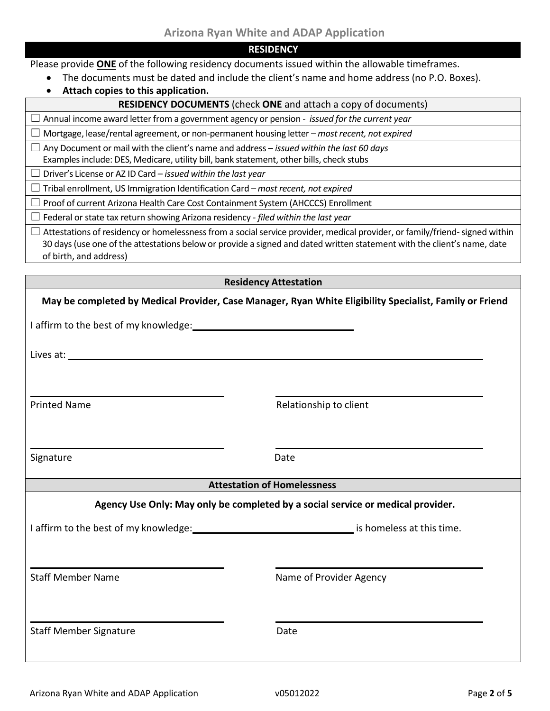| RE | ESIDENC |  |  | Υ |
|----|---------|--|--|---|
|    |         |  |  |   |

Please provide **ONE** of the following residency documents issued within the allowable timeframes.

- The documents must be dated and include the client's name and home address (no P.O. Boxes).
- **Attach copies to this application.**

#### **RESIDENCY DOCUMENTS** (check **ONE** and attach a copy of documents)

 $\Box$  Annual income award letter from a government agency or pension - *issued for the current year* 

☐ Mortgage, lease/rental agreement, or non-permanent housing letter – *most recent, not expired*

☐ Any Document ormail with the client's name and address – *issued within the last 60 days* Examples include: DES, Medicare, utility bill, bank statement, other bills, check stubs

☐ Driver's License or AZ ID Card – *issued within the last year*

☐ Tribal enrollment, US Immigration Identification Card – *most recent, not expired*

☐ Proof of current Arizona Health Care Cost Containment System (AHCCCS) Enrollment

☐ Federal or state tax return showing Arizona residency - *filed within the last year*

 $\Box$  Attestations of residency or homelessness from a social service provider, medical provider, or family/friend-signed within 30 days(use one of the attestations below or provide a signed and dated written statement with the client's name, date of birth, and address)

#### **Residency Attestation**

|                                          | May be completed by Medical Provider, Case Manager, Ryan White Eligibility Specialist, Family or Friend |
|------------------------------------------|---------------------------------------------------------------------------------------------------------|
|                                          |                                                                                                         |
|                                          |                                                                                                         |
| <b>Printed Name</b>                      | Relationship to client                                                                                  |
| Signature                                | Date                                                                                                    |
| <u> André de la companya de la compa</u> | <b>Attestation of Homelessness</b>                                                                      |
|                                          | Agency Use Only: May only be completed by a social service or medical provider.                         |
|                                          |                                                                                                         |
|                                          |                                                                                                         |
| <b>Staff Member Name</b>                 | Name of Provider Agency                                                                                 |
| <b>Staff Member Signature</b>            | Date                                                                                                    |
|                                          |                                                                                                         |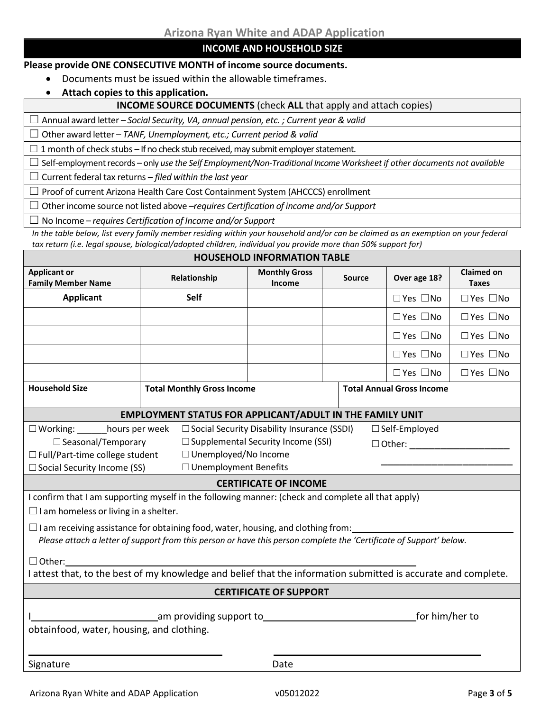### **INCOME AND HOUSEHOLD SIZE**

#### **Please provide ONE CONSECUTIVE MONTH of income source documents.**

- Documents must be issued within the allowable timeframes.
- **Attach copies to this application.**

#### **INCOME SOURCE DOCUMENTS** (check **ALL** that apply and attach copies)

☐ Annual award letter – *Social Security, VA, annual pension, etc. ; Current year & valid*

☐ Other award letter – *TANF, Unemployment, etc.; Current period & valid*

 $\Box$  1 month of check stubs – If no check stub received, may submit employer statement.

□ Self-employment records – only *use the Self Employment/Non-Traditional Income Worksheet if other documents not available* 

☐ Current federal tax returns *– filed within the last year*

☐ Proof of current Arizona Health Care Cost Containment System (AHCCCS) enrollment

☐ Otherincome source notlisted above –*requires Certification of income and/or Support*

☐ No Income – *requires Certification of Income and/or Support*

*In the table below, list every family member residing within your household and/or can be claimed as an exemption on your federal tax return (i.e. legal spouse, biological/adopted children, individual you provide more than 50% support for)*

| <b>HOUSEHOLD INFORMATION TABLE</b>                                                                                  |                                                                 |                                                    |               |                                  |                                   |  |
|---------------------------------------------------------------------------------------------------------------------|-----------------------------------------------------------------|----------------------------------------------------|---------------|----------------------------------|-----------------------------------|--|
| <b>Applicant or</b><br><b>Family Member Name</b>                                                                    | Relationship                                                    | <b>Monthly Gross</b><br>Income                     | <b>Source</b> | Over age 18?                     | <b>Claimed on</b><br><b>Taxes</b> |  |
| <b>Applicant</b>                                                                                                    | Self                                                            |                                                    |               | $\Box$ Yes $\Box$ No             | $\Box$ Yes $\Box$ No              |  |
|                                                                                                                     |                                                                 |                                                    |               | $\Box$ Yes $\Box$ No             | $\Box$ Yes $\Box$ No              |  |
|                                                                                                                     |                                                                 |                                                    |               | $\Box$ Yes $\Box$ No             | $\Box$ Yes $\Box$ No              |  |
|                                                                                                                     |                                                                 |                                                    |               | $\Box$ Yes $\Box$ No             | $\Box$ Yes $\Box$ No              |  |
|                                                                                                                     |                                                                 |                                                    |               | $\Box$ Yes $\Box$ No             | $\Box$ Yes $\Box$ No              |  |
| <b>Household Size</b>                                                                                               | <b>Total Monthly Gross Income</b>                               |                                                    |               | <b>Total Annual Gross Income</b> |                                   |  |
|                                                                                                                     | <b>EMPLOYMENT STATUS FOR APPLICANT/ADULT IN THE FAMILY UNIT</b> |                                                    |               |                                  |                                   |  |
| □ Working: _______hours per week                                                                                    |                                                                 | $\Box$ Social Security Disability Insurance (SSDI) |               | $\Box$ Self-Employed             |                                   |  |
| $\Box$ Supplemental Security Income (SSI)<br>$\Box$ Seasonal/Temporary<br>$\Box$ Other: $\Box$                      |                                                                 |                                                    |               |                                  |                                   |  |
| □ Unemployed/No Income<br>$\Box$ Full/Part-time college student                                                     |                                                                 |                                                    |               |                                  |                                   |  |
| □ Unemployment Benefits<br>□ Social Security Income (SS)                                                            |                                                                 |                                                    |               |                                  |                                   |  |
| <b>CERTIFICATE OF INCOME</b>                                                                                        |                                                                 |                                                    |               |                                  |                                   |  |
| I confirm that I am supporting myself in the following manner: (check and complete all that apply)                  |                                                                 |                                                    |               |                                  |                                   |  |
| $\Box$ I am homeless or living in a shelter.                                                                        |                                                                 |                                                    |               |                                  |                                   |  |
| $\Box$ I am receiving assistance for obtaining food, water, housing, and clothing from:______                       |                                                                 |                                                    |               |                                  |                                   |  |
| Please attach a letter of support from this person or have this person complete the 'Certificate of Support' below. |                                                                 |                                                    |               |                                  |                                   |  |
| $\Box$ Other:                                                                                                       |                                                                 |                                                    |               |                                  |                                   |  |
| I attest that, to the best of my knowledge and belief that the information submitted is accurate and complete.      |                                                                 |                                                    |               |                                  |                                   |  |
| <b>CERTIFICATE OF SUPPORT</b>                                                                                       |                                                                 |                                                    |               |                                  |                                   |  |
| for him/her to<br>_am providing support to__________<br>obtainfood, water, housing, and clothing.                   |                                                                 |                                                    |               |                                  |                                   |  |
| Signature                                                                                                           |                                                                 | Date                                               |               |                                  |                                   |  |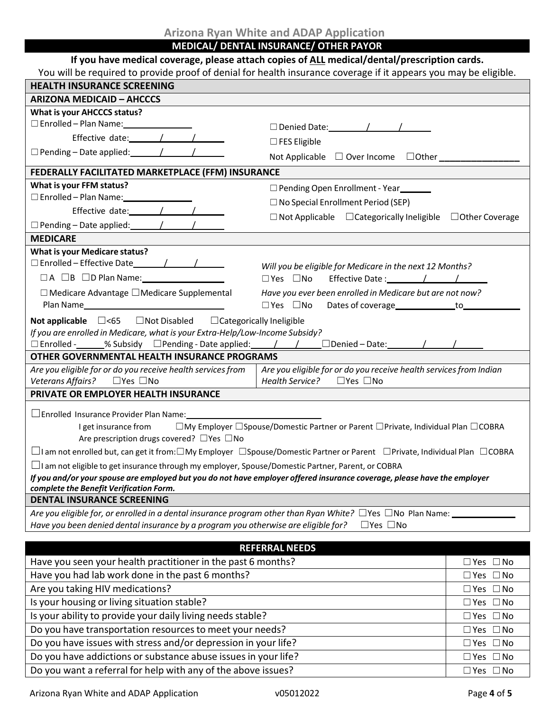**MEDICAL/ DENTAL INSURANCE/ OTHER PAYOR**

## **If you have medical coverage, please attach copies of ALL medical/dental/prescription cards.**

| You will be required to provide proof of denial for health insurance coverage if it appears you may be eligible. |  |
|------------------------------------------------------------------------------------------------------------------|--|
|                                                                                                                  |  |
|                                                                                                                  |  |
|                                                                                                                  |  |

| <b>HEALTH INSURANCE SCREENING</b>                                                                                                                       | <u>en de la prolitique prodition de montant moetantes de la esperantiple en la prensista de disp</u> |                      |  |  |
|---------------------------------------------------------------------------------------------------------------------------------------------------------|------------------------------------------------------------------------------------------------------|----------------------|--|--|
| <b>ARIZONA MEDICAID - AHCCCS</b>                                                                                                                        |                                                                                                      |                      |  |  |
| What is your AHCCCS status?                                                                                                                             |                                                                                                      |                      |  |  |
| □ Enrolled - Plan Name: _________________                                                                                                               | $\Box$ Denied Date: $\angle$ /                                                                       |                      |  |  |
| Effective date: / / /                                                                                                                                   | $\square$ FES Eligible                                                                               |                      |  |  |
| $\Box$ Pending – Date applied: $\angle$ /                                                                                                               | Not Applicable □ Over Income □ Other ________                                                        |                      |  |  |
| FEDERALLY FACILITATED MARKETPLACE (FFM) INSURANCE                                                                                                       |                                                                                                      |                      |  |  |
| What is your FFM status?                                                                                                                                | □ Pending Open Enrollment - Year_______                                                              |                      |  |  |
| □ Enrolled - Plan Name: ________________                                                                                                                | $\Box$ No Special Enrollment Period (SEP)                                                            |                      |  |  |
| Effective date: / / /                                                                                                                                   | $\Box$ Not Applicable $\Box$ Categorically Ineligible $\Box$ Other Coverage                          |                      |  |  |
|                                                                                                                                                         |                                                                                                      |                      |  |  |
| <b>MEDICARE</b>                                                                                                                                         |                                                                                                      |                      |  |  |
| What is your Medicare status?                                                                                                                           |                                                                                                      |                      |  |  |
|                                                                                                                                                         | Will you be eligible for Medicare in the next 12 Months?                                             |                      |  |  |
| $\Box A$ $\Box B$ $\Box D$ Plan Name:                                                                                                                   |                                                                                                      |                      |  |  |
| $\Box$ Medicare Advantage $\Box$ Medicare Supplemental                                                                                                  | Have you ever been enrolled in Medicare but are not now?                                             |                      |  |  |
|                                                                                                                                                         | $\square$ Yes $\square$ No<br>Dates of coverage______________to________                              |                      |  |  |
| <b>Not applicable</b> $\Box$ <65 $\Box$ Not Disabled $\Box$ Categorically Ineligible                                                                    |                                                                                                      |                      |  |  |
| If you are enrolled in Medicare, what is your Extra-Help/Low-Income Subsidy?                                                                            |                                                                                                      |                      |  |  |
| $\Box$ Enrolled -_____% Subsidy $\Box$ Pending - Date applied: $\Box$ / $\Box$ Denied - Date: $\Box$ / $\Box$                                           |                                                                                                      |                      |  |  |
| OTHER GOVERNMENTAL HEALTH INSURANCE PROGRAMS                                                                                                            |                                                                                                      |                      |  |  |
| Are you eligible for or do you receive health services from                                                                                             | Are you eligible for or do you receive health services from Indian                                   |                      |  |  |
| Veterans Affairs? □ Yes □ No                                                                                                                            | Health Service? □ Yes □ No                                                                           |                      |  |  |
| PRIVATE OR EMPLOYER HEALTH INSURANCE                                                                                                                    |                                                                                                      |                      |  |  |
| $\Box$ Enrolled Insurance Provider Plan Name:                                                                                                           |                                                                                                      |                      |  |  |
| $\square$ My Employer $\square$ Spouse/Domestic Partner or Parent $\square$ Private, Individual Plan $\square$ COBRA<br>I get insurance from            |                                                                                                      |                      |  |  |
| Are prescription drugs covered? □ Yes □ No                                                                                                              |                                                                                                      |                      |  |  |
| $\Box$ I am not enrolled but, can get it from: $\Box$ My Employer $\Box$ Spouse/Domestic Partner or Parent $\Box$ Private, Individual Plan $\Box$ COBRA |                                                                                                      |                      |  |  |
| $\Box$ I am not eligible to get insurance through my employer, Spouse/Domestic Partner, Parent, or COBRA                                                |                                                                                                      |                      |  |  |
| If you and/or your spouse are employed but you do not have employer offered insurance coverage, please have the employer                                |                                                                                                      |                      |  |  |
| complete the Benefit Verification Form.<br><b>DENTAL INSURANCE SCREENING</b>                                                                            |                                                                                                      |                      |  |  |
| Are you eligible for, or enrolled in a dental insurance program other than Ryan White? $\Box$ Yes $\Box$ No Plan Name: $\Box$                           |                                                                                                      |                      |  |  |
| Have you been denied dental insurance by a program you otherwise are eligible for?                                                                      | $\Box$ Yes $\Box$ No                                                                                 |                      |  |  |
|                                                                                                                                                         |                                                                                                      |                      |  |  |
|                                                                                                                                                         | <b>REFERRAL NEEDS</b>                                                                                |                      |  |  |
| Have you seen your health practitioner in the past 6 months?                                                                                            |                                                                                                      | $\Box$ Yes $\Box$ No |  |  |
| Have you had lab work done in the past 6 months?                                                                                                        |                                                                                                      | $\Box$ Yes $\Box$ No |  |  |
| Are you taking HIV medications?<br>$\Box$ Yes $\Box$ No                                                                                                 |                                                                                                      |                      |  |  |
| Is your housing or living situation stable?<br>$\Box$ Yes $\Box$ No                                                                                     |                                                                                                      |                      |  |  |
| Is your ability to provide your daily living needs stable?                                                                                              |                                                                                                      | $\Box$ Yes $\Box$ No |  |  |
| Do you have transportation resources to meet your needs?                                                                                                |                                                                                                      | $\Box$ Yes $\Box$ No |  |  |
| Do you have issues with stress and/or depression in your life?                                                                                          |                                                                                                      | $\Box$ Yes $\Box$ No |  |  |
| Do you have addictions or substance abuse issues in your life?<br>$\Box$ Yes $\Box$ No                                                                  |                                                                                                      |                      |  |  |
| Do you want a referral for help with any of the above issues?                                                                                           |                                                                                                      | $\Box$ Yes $\Box$ No |  |  |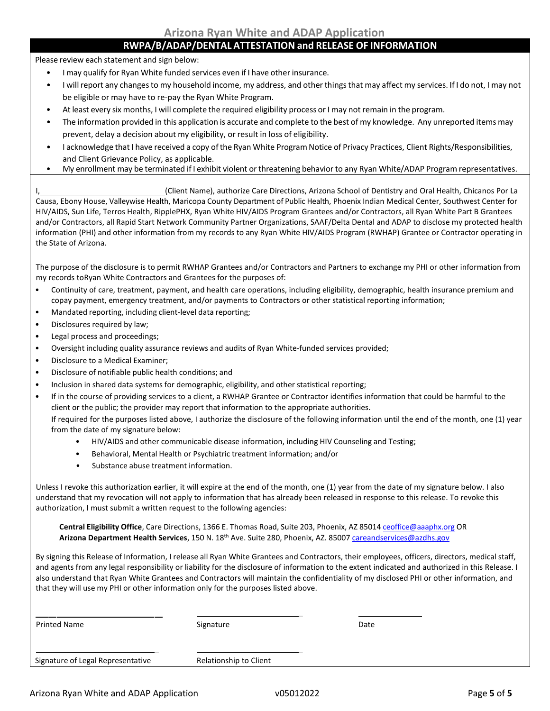### **RWPA/B/ADAP/DENTAL ATTESTATION and RELEASE OF INFORMATION**

Please review each statement and sign below:

- I may qualify for Ryan White funded services even if I have other insurance.
- I willreport any changesto my household income, my address, and other thingsthat may affect my services. If I do not, I may not be eligible or may have to re-pay the Ryan White Program.
- At least every six months, I will complete the required eligibility process or I may not remain in the program.
- The information provided in this application is accurate and complete to the best of my knowledge. Any unreported items may prevent, delay a decision about my eligibility, or result in loss of eligibility.
- I acknowledge that I have received a copy ofthe Ryan White Program Notice of Privacy Practices, Client Rights/Responsibilities, and Client Grievance Policy, as applicable.
- My enrollment may be terminated if I exhibit violent or threatening behavior to any Ryan White/ADAP Program representatives.

I, (Client Name), authorize Care Directions, Arizona School of Dentistry and Oral Health, Chicanos Por La Causa, Ebony House, Valleywise Health, Maricopa County Department of Public Health, Phoenix Indian Medical Center, Southwest Center for HIV/AIDS, Sun Life, Terros Health, RipplePHX, Ryan White HIV/AIDS Program Grantees and/or Contractors, all Ryan White Part B Grantees and/or Contractors, all Rapid Start Network Community Partner Organizations, SAAF/Delta Dental and ADAP to disclose my protected health information (PHI) and other information from my records to any Ryan White HIV/AIDS Program (RWHAP) Grantee or Contractor operating in the State of Arizona.

The purpose of the disclosure is to permit RWHAP Grantees and/or Contractors and Partners to exchange my PHI or other information from my records toRyan White Contractors and Grantees for the purposes of:

- Continuity of care, treatment, payment, and health care operations, including eligibility, demographic, health insurance premium and copay payment, emergency treatment, and/or payments to Contractors or other statistical reporting information;
- Mandated reporting, including client-level data reporting;
- Disclosures required by law;
- Legal process and proceedings;
- Oversight including quality assurance reviews and audits of Ryan White-funded services provided;
- Disclosure to a Medical Examiner;
- Disclosure of notifiable public health conditions; and
- Inclusion in shared data systems for demographic, eligibility, and other statistical reporting;
- If in the course of providing services to a client, a RWHAP Grantee or Contractor identifies information that could be harmful to the client or the public; the provider may report that information to the appropriate authorities.

If required for the purposes listed above, I authorize the disclosure of the following information until the end of the month, one (1) year from the date of my signature below:

- HIV/AIDS and other communicable disease information, including HIV Counseling and Testing;
- Behavioral, Mental Health or Psychiatric treatment information; and/or
- Substance abuse treatment information.

Unless I revoke this authorization earlier, it will expire at the end of the month, one (1) year from the date of my signature below. I also understand that my revocation will not apply to information that has already been released in response to this release. To revoke this authorization, I must submit a written request to the following agencies:

**Central Eligibility Office**, Care Directions, 1366 E. Thomas Road, Suite 203, Phoenix, AZ 85014 [ceoffice@aaaphx.org](mailto:ceoffice@aaaphx.org) OR **Arizona Department Health Services**, 150 N. 18th Ave. Suite 280, Phoenix, AZ. 85007 [careandservices@azdhs.gov](mailto:careandservices@azdhs.gov)

By signing this Release of Information, I release all Ryan White Grantees and Contractors, their employees, officers, directors, medical staff, and agents from any legal responsibility or liability for the disclosure of information to the extent indicated and authorized in this Release. I also understand that Ryan White Grantees and Contractors will maintain the confidentiality of my disclosed PHI or other information, and that they will use my PHI or other information only for the purposes listed above.

| <b>Printed Name</b>               | Signature              | Date |  |
|-----------------------------------|------------------------|------|--|
|                                   |                        |      |  |
| Signature of Legal Representative | Relationship to Client |      |  |